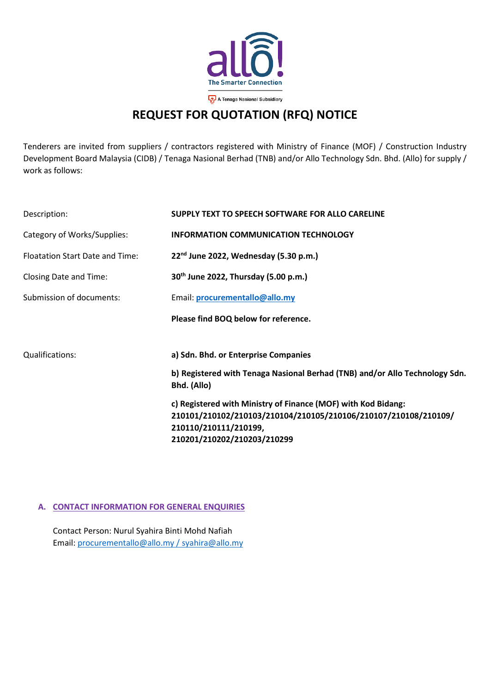

# **REQUEST FOR QUOTATION (RFQ) NOTICE**

Tenderers are invited from suppliers / contractors registered with Ministry of Finance (MOF) / Construction Industry Development Board Malaysia (CIDB) / Tenaga Nasional Berhad (TNB) and/or Allo Technology Sdn. Bhd. (Allo) for supply / work as follows:

| Description:                    | SUPPLY TEXT TO SPEECH SOFTWARE FOR ALLO CARELINE                                           |
|---------------------------------|--------------------------------------------------------------------------------------------|
| Category of Works/Supplies:     | <b>INFORMATION COMMUNICATION TECHNOLOGY</b>                                                |
| Floatation Start Date and Time: | 22 <sup>nd</sup> June 2022, Wednesday (5.30 p.m.)                                          |
| Closing Date and Time:          | 30 <sup>th</sup> June 2022, Thursday (5.00 p.m.)                                           |
| Submission of documents:        | Email: procurementallo@allo.my                                                             |
|                                 | Please find BOQ below for reference.                                                       |
| Qualifications:                 | a) Sdn. Bhd. or Enterprise Companies                                                       |
|                                 | b) Registered with Tenaga Nasional Berhad (TNB) and/or Allo Technology Sdn.<br>Bhd. (Allo) |
|                                 | c) Registered with Ministry of Finance (MOF) with Kod Bidang:                              |
|                                 | 210101/210102/210103/210104/210105/210106/210107/210108/210109/                            |
|                                 | 210110/210111/210199,                                                                      |
|                                 | 210201/210202/210203/210299                                                                |

### **A. CONTACT INFORMATION FOR GENERAL ENQUIRIES**

Contact Person: Nurul Syahira Binti Mohd Nafiah Email: [procurementallo@allo.my](mailto:procurementallo@allo.my) / syahira@allo.my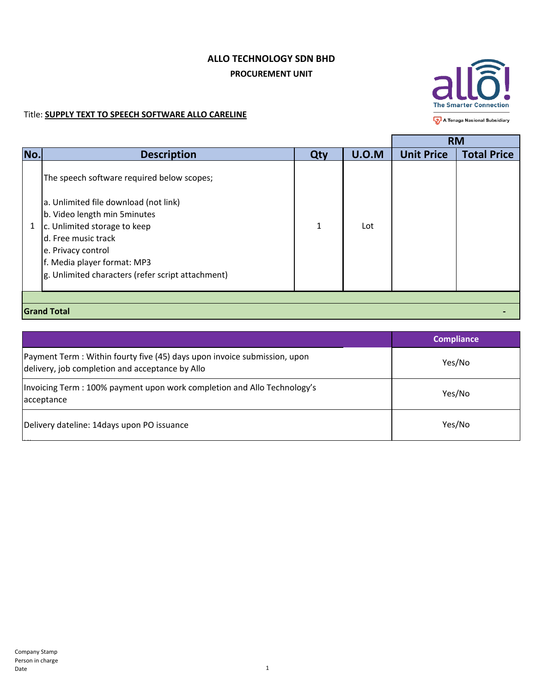## **ALLO TECHNOLOGY SDN BHD PROCUREMENT UNIT**



A Tenaga Nasional Subsidiary المراجي

### Title: **SUPPLY TEXT TO SPEECH SOFTWARE ALLO CARELINE**

|     |                                                   |     |       |                   | <b>RM</b>          |  |
|-----|---------------------------------------------------|-----|-------|-------------------|--------------------|--|
| No. | <b>Description</b>                                | Qty | U.O.M | <b>Unit Price</b> | <b>Total Price</b> |  |
|     | The speech software required below scopes;        |     |       |                   |                    |  |
|     | a. Unlimited file download (not link)             |     |       |                   |                    |  |
|     | b. Video length min 5 minutes                     |     |       |                   |                    |  |
| 1   | c. Unlimited storage to keep                      | 1   | Lot   |                   |                    |  |
|     | d. Free music track                               |     |       |                   |                    |  |
|     | e. Privacy control                                |     |       |                   |                    |  |
|     | f. Media player format: MP3                       |     |       |                   |                    |  |
|     | g. Unlimited characters (refer script attachment) |     |       |                   |                    |  |
|     |                                                   |     |       |                   |                    |  |
|     |                                                   |     |       |                   |                    |  |
|     | <b>Grand Total</b>                                |     |       |                   |                    |  |

|                                                                                                                              | <b>Compliance</b> |
|------------------------------------------------------------------------------------------------------------------------------|-------------------|
| Payment Term : Within fourty five (45) days upon invoice submission, upon<br>delivery, job completion and acceptance by Allo | Yes/No            |
| Invoicing Term: 100% payment upon work completion and Allo Technology's<br>acceptance                                        | Yes/No            |
| Delivery dateline: 14days upon PO issuance                                                                                   | Yes/No            |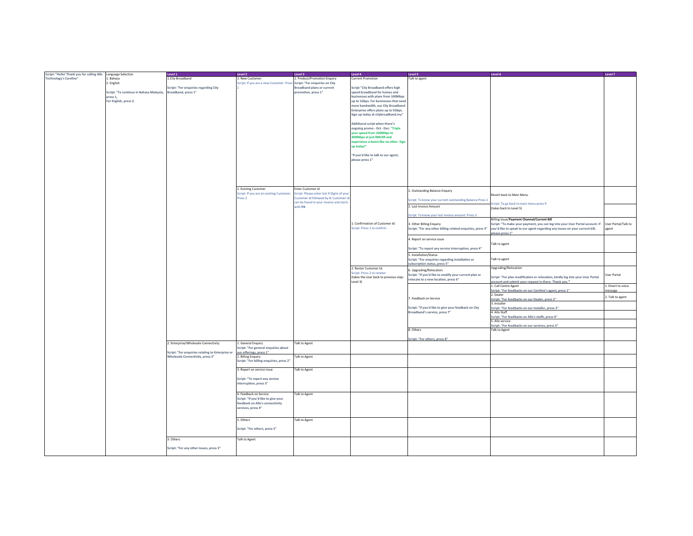| Script: "Hello! Thank you for calling Allo Language Selection |                                                              | Level 1                                          | Level 2                                                                 | Level 3                                            | Level 4                                                          | Level 5                                                    | Level 6                                                                        | Level 7             |
|---------------------------------------------------------------|--------------------------------------------------------------|--------------------------------------------------|-------------------------------------------------------------------------|----------------------------------------------------|------------------------------------------------------------------|------------------------------------------------------------|--------------------------------------------------------------------------------|---------------------|
| <b>Technology's Careline"</b>                                 | 1. Bahasa                                                    | 1.City Broadband                                 | 1. New Customer:                                                        | 1. Product/Promotion Enquiry                       | <b>Current Promotion</b>                                         | Talk to agent                                              |                                                                                |                     |
|                                                               | 2. English                                                   |                                                  | Script: If you are a new Customer: Press Script: "For enquiries on City |                                                    |                                                                  |                                                            |                                                                                |                     |
|                                                               |                                                              | Script: "For enquiries regarding City            |                                                                         | Broadband plans or current                         | Script "City Broadband offers high                               |                                                            |                                                                                |                     |
|                                                               | Script: "To continue in Bahasa Malaysia, Broadband, press 1" |                                                  |                                                                         | promotion, press 1"                                | speed broadband for homes and                                    |                                                            |                                                                                |                     |
|                                                               | press 1.                                                     |                                                  |                                                                         |                                                    | businesses with plans from 100Mbps                               |                                                            |                                                                                |                     |
|                                                               | For English, press 2.                                        |                                                  |                                                                         |                                                    | up to 1Gbps. For businesses that need                            |                                                            |                                                                                |                     |
|                                                               |                                                              |                                                  |                                                                         |                                                    | more bandwidth, our City Broadband                               |                                                            |                                                                                |                     |
|                                                               |                                                              |                                                  |                                                                         |                                                    | Enterprise offers plans up to 5Gbps.                             |                                                            |                                                                                |                     |
|                                                               |                                                              |                                                  |                                                                         |                                                    | Sign up today at citybroadband.my"                               |                                                            |                                                                                |                     |
|                                                               |                                                              |                                                  |                                                                         |                                                    |                                                                  |                                                            |                                                                                |                     |
|                                                               |                                                              |                                                  |                                                                         |                                                    | Additional script when there's                                   |                                                            |                                                                                |                     |
|                                                               |                                                              |                                                  |                                                                         |                                                    | ongoing promo - Oct - Dec: "Triple<br>your speed from 100Mbps to |                                                            |                                                                                |                     |
|                                                               |                                                              |                                                  |                                                                         |                                                    | 300Mbps at just RM109 and                                        |                                                            |                                                                                |                     |
|                                                               |                                                              |                                                  |                                                                         |                                                    | experience a boost like no other. Sign                           |                                                            |                                                                                |                     |
|                                                               |                                                              |                                                  |                                                                         |                                                    | up today!"                                                       |                                                            |                                                                                |                     |
|                                                               |                                                              |                                                  |                                                                         |                                                    |                                                                  |                                                            |                                                                                |                     |
|                                                               |                                                              |                                                  |                                                                         |                                                    | "If you'd like to talk to our agent,                             |                                                            |                                                                                |                     |
|                                                               |                                                              |                                                  |                                                                         |                                                    | please press 1"                                                  |                                                            |                                                                                |                     |
|                                                               |                                                              |                                                  |                                                                         |                                                    |                                                                  |                                                            |                                                                                |                     |
|                                                               |                                                              |                                                  |                                                                         |                                                    |                                                                  |                                                            |                                                                                |                     |
|                                                               |                                                              |                                                  |                                                                         |                                                    |                                                                  |                                                            |                                                                                |                     |
|                                                               |                                                              |                                                  |                                                                         |                                                    |                                                                  |                                                            |                                                                                |                     |
|                                                               |                                                              |                                                  |                                                                         |                                                    |                                                                  |                                                            |                                                                                |                     |
|                                                               |                                                              |                                                  | 2. Existing Customer                                                    | Enter Customer Id                                  |                                                                  | 1. Outstanding Balance Enquiry                             |                                                                                |                     |
|                                                               |                                                              |                                                  | Script: If you are an existing Customer:                                | Script: Please enter last 9 Digits of your         |                                                                  |                                                            | Revert back to Main Menu                                                       |                     |
|                                                               |                                                              |                                                  | ress <sub>2</sub>                                                       | lustomer Id followed by #; Customer id             |                                                                  | Script: To know your current outstanding Balance Press 1   |                                                                                |                     |
|                                                               |                                                              |                                                  |                                                                         | can be found in your invoice and starts<br>with PA |                                                                  | 2. Last Invoice Amount                                     | Script: To go back to main menu press 9                                        |                     |
|                                                               |                                                              |                                                  |                                                                         |                                                    |                                                                  |                                                            | (takes back to Level 5)                                                        |                     |
|                                                               |                                                              |                                                  |                                                                         |                                                    |                                                                  | Script: To know your last invoice amount: Press 2          |                                                                                |                     |
|                                                               |                                                              |                                                  |                                                                         |                                                    |                                                                  |                                                            | Billing Issue/Payment Channel/Current Bill                                     |                     |
|                                                               |                                                              |                                                  |                                                                         |                                                    | 1. Confirmation of Customer Id:                                  | 3. Other Billing Enquiry                                   | Script: "To make your payment, you can log into your User Portal account. If   | User Portal/Talk to |
|                                                               |                                                              |                                                  |                                                                         |                                                    | Script: Press 1 to confirm                                       | Script: "For any other billing related enquiries, press 3" | you'd like to speak to our agent regarding any issues on your current bill,    | agent               |
|                                                               |                                                              |                                                  |                                                                         |                                                    |                                                                  |                                                            | please press 1"                                                                |                     |
|                                                               |                                                              |                                                  |                                                                         |                                                    |                                                                  | 4. Report on service issue                                 |                                                                                |                     |
|                                                               |                                                              |                                                  |                                                                         |                                                    |                                                                  |                                                            | Talk to agent                                                                  |                     |
|                                                               |                                                              |                                                  |                                                                         |                                                    |                                                                  | Script: "To report any service interruption, press 4"      |                                                                                |                     |
|                                                               |                                                              |                                                  |                                                                         |                                                    |                                                                  | 5. Installation/Status                                     |                                                                                |                     |
|                                                               |                                                              |                                                  |                                                                         |                                                    |                                                                  | Script: "For enquiries regarding installation or           | Talk to agent                                                                  |                     |
|                                                               |                                                              |                                                  |                                                                         |                                                    | 2. Renter Customer Id:                                           | subscription status, press 5"                              | Upgrading/Relocation                                                           |                     |
|                                                               |                                                              |                                                  |                                                                         |                                                    | Script: Press 2 to reneter                                       | 6. Upgrading/Relocation                                    |                                                                                |                     |
|                                                               |                                                              |                                                  |                                                                         |                                                    | (takes the User back to previous step:                           | Script: "If you'd like to modify your current plan or      | Script: "For plan modification or relocation, kindly log into your User Portal | User Portal         |
|                                                               |                                                              |                                                  |                                                                         |                                                    | Level 3)                                                         | relocate to a new location, press 6"                       | account and submit your request in there. Thank you."                          |                     |
|                                                               |                                                              |                                                  |                                                                         |                                                    |                                                                  |                                                            | 1. Call Centre Agent                                                           | 1. Divert to voice  |
|                                                               |                                                              |                                                  |                                                                         |                                                    |                                                                  |                                                            | Script: "For feedbacks on our Careline's agent, press 1"                       | nessage             |
|                                                               |                                                              |                                                  |                                                                         |                                                    |                                                                  |                                                            | 2. Dealer                                                                      | 2. Talk to agent    |
|                                                               |                                                              |                                                  |                                                                         |                                                    |                                                                  | 7. Feedback on Service                                     | Script: "For feedbacks on our Dealer, press 2"                                 |                     |
|                                                               |                                                              |                                                  |                                                                         |                                                    |                                                                  | Script: "If you'd like to give your feedback on City       | 3. Installer<br>Script: "For feedbacks on our Installer, press 3"              |                     |
|                                                               |                                                              |                                                  |                                                                         |                                                    |                                                                  | Broadband's service, press 7"                              | 4. Allo Staff                                                                  |                     |
|                                                               |                                                              |                                                  |                                                                         |                                                    |                                                                  |                                                            | Script: "For feedbacks on Allo's staffs, press 4"                              |                     |
|                                                               |                                                              |                                                  |                                                                         |                                                    |                                                                  |                                                            | 5. Allo service                                                                |                     |
|                                                               |                                                              |                                                  |                                                                         |                                                    |                                                                  |                                                            | Script: "For feedbacks on our services, press 5"                               |                     |
|                                                               |                                                              |                                                  |                                                                         |                                                    |                                                                  | 8. Others                                                  | <b>Talk to Agent</b>                                                           |                     |
|                                                               |                                                              |                                                  |                                                                         |                                                    |                                                                  |                                                            |                                                                                |                     |
|                                                               |                                                              | 2. Enterprise/Wholesale Connectivity             | 1. General Enquiry                                                      | Talk to Agent                                      |                                                                  | Script: "For others, press 8"                              |                                                                                |                     |
|                                                               |                                                              |                                                  | cript: "For general enquiries about                                     |                                                    |                                                                  |                                                            |                                                                                |                     |
|                                                               |                                                              | Script: "For enquiries relating to Enterprise or | our offerings, press 1"                                                 |                                                    |                                                                  |                                                            |                                                                                |                     |
|                                                               |                                                              | <b>Wholesale Connectivity, press 2"</b>          | 2. Billing Enquiry                                                      | Talk to Agent                                      |                                                                  |                                                            |                                                                                |                     |
|                                                               |                                                              |                                                  | Script: "For billing enquiries, press 2"                                |                                                    |                                                                  |                                                            |                                                                                |                     |
|                                                               |                                                              |                                                  | 3. Report on service issue                                              | <b>Talk to Agent</b>                               |                                                                  |                                                            |                                                                                |                     |
|                                                               |                                                              |                                                  |                                                                         |                                                    |                                                                  |                                                            |                                                                                |                     |
|                                                               |                                                              |                                                  | Script: "To report any service                                          |                                                    |                                                                  |                                                            |                                                                                |                     |
|                                                               |                                                              |                                                  | interruption, press 3"                                                  |                                                    |                                                                  |                                                            |                                                                                |                     |
|                                                               |                                                              |                                                  |                                                                         |                                                    |                                                                  |                                                            |                                                                                |                     |
|                                                               |                                                              |                                                  | 4. Feedback on Service                                                  | <b>Talk to Agent</b>                               |                                                                  |                                                            |                                                                                |                     |
|                                                               |                                                              |                                                  | Script: "If you'd like to give your                                     |                                                    |                                                                  |                                                            |                                                                                |                     |
|                                                               |                                                              |                                                  | feedback on Allo's connectivity                                         |                                                    |                                                                  |                                                            |                                                                                |                     |
|                                                               |                                                              |                                                  | services, press 4"                                                      |                                                    |                                                                  |                                                            |                                                                                |                     |
|                                                               |                                                              |                                                  |                                                                         |                                                    |                                                                  |                                                            |                                                                                |                     |
|                                                               |                                                              |                                                  | 5. Others                                                               | Talk to Agent                                      |                                                                  |                                                            |                                                                                |                     |
|                                                               |                                                              |                                                  |                                                                         |                                                    |                                                                  |                                                            |                                                                                |                     |
|                                                               |                                                              |                                                  | Script: "For others, press 5"                                           |                                                    |                                                                  |                                                            |                                                                                |                     |
|                                                               |                                                              |                                                  |                                                                         |                                                    |                                                                  |                                                            |                                                                                |                     |
|                                                               |                                                              | 3. Others                                        | Talk to Agent                                                           |                                                    |                                                                  |                                                            |                                                                                |                     |
|                                                               |                                                              |                                                  |                                                                         |                                                    |                                                                  |                                                            |                                                                                |                     |
|                                                               |                                                              | Script: "For any other issues, press 3"          |                                                                         |                                                    |                                                                  |                                                            |                                                                                |                     |
|                                                               |                                                              |                                                  |                                                                         |                                                    |                                                                  |                                                            |                                                                                |                     |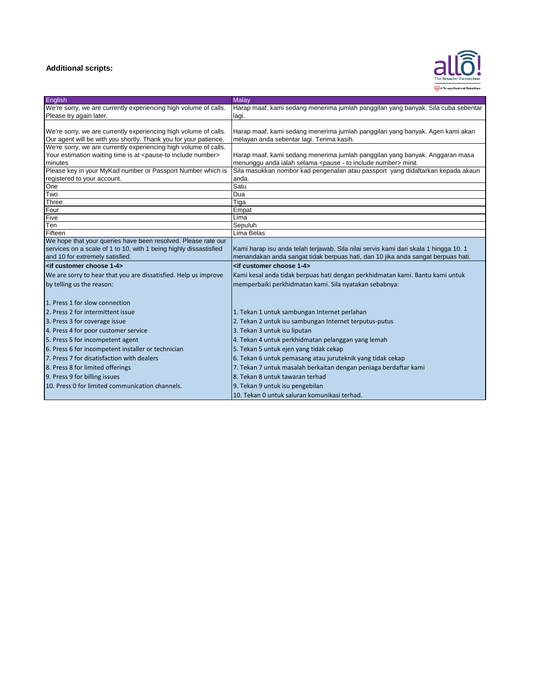#### **Additional scripts:**



| English                                                                       | <b>Malav</b>                                                                        |
|-------------------------------------------------------------------------------|-------------------------------------------------------------------------------------|
| We're sorry, we are currently experiencing high volume of calls.              | Harap maaf, kami sedang menerima jumlah panggilan yang banyak. Sila cuba sebentar   |
| Please try again later.                                                       | lagi.                                                                               |
|                                                                               |                                                                                     |
| We're sorry, we are currently experiencing high volume of calls.              | Harap maaf, kami sedang menerima jumlah panggilan yang banyak. Agen kami akan       |
| Our agent will be with you shortly. Thank you for your patience.              | melayan anda sebentar lagi. Terima kasih.                                           |
| We're sorry, we are currently experiencing high volume of calls.              |                                                                                     |
| Your estimation waiting time is at <pause-to include="" number=""></pause-to> | Harap maaf, kami sedang menerima jumlah panggilan yang banyak. Anggaran masa        |
| minutes                                                                       | menunggu anda ialah selama <pause -="" include="" number="" to=""> minit.</pause>   |
| Please key in your MyKad number or Passport Number which is                   | Sila masukkan nombor kad pengenalan atau passport yang didaftarkan kepada akaun     |
| registered to your account.                                                   | anda.                                                                               |
| One                                                                           | Satu                                                                                |
| Two                                                                           | Dua                                                                                 |
| Three<br>Four                                                                 | Tiga<br>Empat                                                                       |
| Five                                                                          | Lima                                                                                |
| Ten                                                                           | Sepuluh                                                                             |
| Fifteen                                                                       | Lima Belas                                                                          |
| We hope that your queries have been resolved. Please rate our                 |                                                                                     |
| services on a scale of 1 to 10, with 1 being highly dissastisfied             | Kami harap isu anda telah terjawab. Sila nilai servis kami dari skala 1 hingga 10.1 |
| and 10 for extremely satisfied.                                               | menandakan anda sangat tidak berpuas hati, dan 10 jika anda sangat berpuas hati.    |
| <if 1-4="" choose="" customer=""></if>                                        | <if 1-4="" choose="" customer=""></if>                                              |
| We are sorry to hear that you are dissatisfied. Help us improve               | Kami kesal anda tidak berpuas hati dengan perkhidmatan kami. Bantu kami untuk       |
| by telling us the reason:                                                     | memperbaiki perkhidmatan kami. Sila nyatakan sebabnya:                              |
|                                                                               |                                                                                     |
| 1. Press 1 for slow connection                                                |                                                                                     |
| 2. Press 2 for intermittent issue                                             | 1. Tekan 1 untuk sambungan Internet perlahan                                        |
| 3. Press 3 for coverage issue                                                 | 2. Tekan 2 untuk isu sambungan Internet terputus-putus                              |
| 4. Press 4 for poor customer service                                          | 3. Tekan 3 untuk isu liputan                                                        |
| 5. Press 5 for incompetent agent                                              | 4. Tekan 4 untuk perkhidmatan pelanggan yang lemah                                  |
| 6. Press 6 for incompetent installer or technician                            | 5. Tekan 5 untuk ejen yang tidak cekap                                              |
| 7. Press 7 for disatisfaction with dealers                                    | 6. Tekan 6 untuk pemasang atau juruteknik yang tidak cekap                          |
| 8. Press 8 for limited offerings                                              | 7. Tekan 7 untuk masalah berkaitan dengan peniaga berdaftar kami                    |
| 9. Press 9 for billing issues                                                 | 8. Tekan 8 untuk tawaran terhad                                                     |
| 10. Press 0 for limited communication channels.                               | 9. Tekan 9 untuk isu pengebilan                                                     |
|                                                                               | 10. Tekan 0 untuk saluran komunikasi terhad.                                        |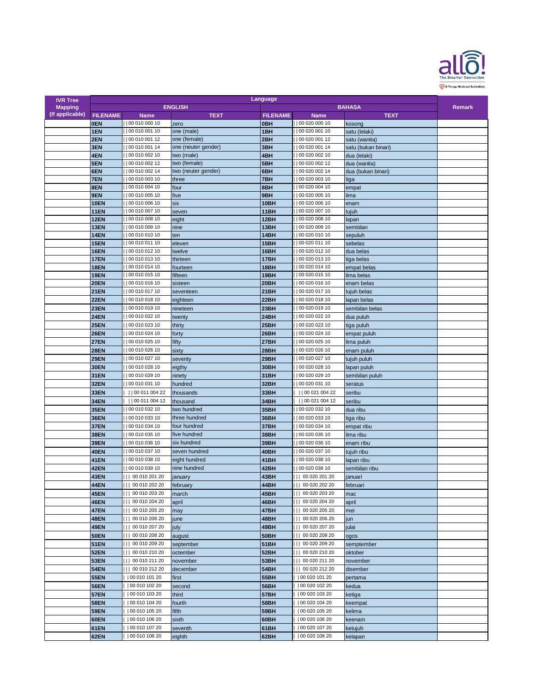

| <b>IVR Tree</b> | Language        |                                      |                     |                 |                                      |                     |  |
|-----------------|-----------------|--------------------------------------|---------------------|-----------------|--------------------------------------|---------------------|--|
| <b>Mapping</b>  | <b>ENGLISH</b>  |                                      |                     |                 | <b>BAHASA</b>                        | <b>Remark</b>       |  |
| (If applicable) | <b>FILENAME</b> | <b>Name</b>                          | <b>TEXT</b>         | <b>FILENAME</b> | <b>Name</b>                          | <b>TEXT</b>         |  |
|                 | <b>OEN</b>      | 00 010 000 10                        | zero                | <b>OBH</b>      | 00 020 000 10                        | kosong              |  |
|                 | 1EN             | 00 010 001 10                        | one (male)          | 1BH             | 00 020 001 10                        | satu (lelaki)       |  |
|                 | 2EN             | 00 010 001 12                        | one (female)        | 2BH             | 00 020 001 12                        | satu (wanita)       |  |
|                 |                 | 00 010 001 14                        |                     |                 | 00 020 001 14                        |                     |  |
|                 | 3EN             |                                      | one (neuter gender) | 3BH             |                                      | satu (bukan binari) |  |
|                 | 4EN             | 00 010 002 10                        | two (male)          | 4BH             | 00 020 002 10                        | dua (lelaki)        |  |
|                 | 5EN             | 00 010 002 12                        | two (female)        | 5BH             | 00 020 002 12                        | dua (wanita)        |  |
|                 | 6EN             | 00 010 002 14                        | two (neuter gender) | 6BH             | 00 020 002 14                        | dua (bukan binari)  |  |
|                 | 7EN             | 00 010 003 10                        | three               | 7BH             | 00 020 003 10                        | tiga                |  |
|                 | 8EN             | 00 010 004 10                        | four                | 8BH             | 00 020 004 10                        | empat               |  |
|                 | 9EN             | 00 010 005 10                        | five                | 9BH             | 00 020 005 10                        | lima                |  |
|                 | <b>10EN</b>     | 00 010 006 10                        | six                 | 10BH            | 00 020 006 10                        | enam                |  |
|                 | <b>11EN</b>     | 00 010 007 10                        | seven               | 11BH            | 00 020 007 10                        | tujuh               |  |
|                 | 12EN            | 00 010 008 10                        | eight               | 12BH            | 00 020 008 10                        | lapan               |  |
|                 | <b>13EN</b>     | 00 010 009 10                        | nine                | 13BH            | 00 020 009 10                        | sembilan            |  |
|                 | <b>14EN</b>     | 00 010 010 10                        | ten                 | 14BH            | 00 020 010 10                        | sepuluh             |  |
|                 | <b>15EN</b>     | 00 010 011 10                        |                     |                 | 00 020 011 10                        |                     |  |
|                 |                 |                                      | eleven              | 15BH            |                                      | sebelas             |  |
|                 | <b>16EN</b>     | 00 010 012 10                        | twelve              | 16BH            | 00 020 012 10                        | dua belas           |  |
|                 | <b>17EN</b>     | 00 010 013 10                        | thirteen            | 17BH            | 00 020 013 10                        | tiga belas          |  |
|                 | <b>18EN</b>     | 00 010 014 10                        | fourteen            | 18BH            | 00 020 014 10                        | empat belas         |  |
|                 | <b>19EN</b>     | 00 010 015 10                        | fifteen             | 19BH            | 00 020 015 10                        | lima belas          |  |
|                 | <b>20EN</b>     | 00 010 016 10                        | sixteen             | 20BH            | 00 020 016 10                        | enam belas          |  |
|                 | <b>21EN</b>     | 00 010 017 10                        | seventeen           | <b>21BH</b>     | 00 020 017 10                        | tujuh belas         |  |
|                 | <b>22EN</b>     | 00 010 018 10                        | eighteen            | 22BH            | 00 020 018 10                        | lapan belas         |  |
|                 | <b>23EN</b>     | 00 010 019 10                        |                     | 23BH            | 00 020 019 10                        | sembilan belas      |  |
|                 |                 |                                      | nineteen            |                 |                                      |                     |  |
|                 | <b>24EN</b>     | 00 010 022 10                        | twenty              | 24BH            | 00 020 022 10                        | dua puluh           |  |
|                 | <b>25EN</b>     | 00 010 023 10                        | thirty              | 25BH            | 00 020 023 10                        | tiga puluh          |  |
|                 | <b>26EN</b>     | 00 010 024 10                        | forty               | 26BH            | 00 020 024 10                        | empat puluh         |  |
|                 | <b>27EN</b>     | 00 010 025 10                        | fifty               | <b>27BH</b>     | 00 020 025 10                        | lima puluh          |  |
|                 | <b>28EN</b>     | 00 010 026 10                        | sixty               | <b>28BH</b>     | 00 020 026 10                        | enam puluh          |  |
|                 | <b>29EN</b>     | 00 010 027 10                        | seventy             | 29BH            | 00 020 027 10                        | tujuh puluh         |  |
|                 |                 | 00 010 028 10                        |                     |                 | 00 020 028 10                        |                     |  |
|                 | <b>30EN</b>     |                                      | eigthy              | 30BH            |                                      | lapan puluh         |  |
|                 | <b>31EN</b>     | 00 010 029 10                        | ninety              | 31BH            | 00 020 029 10                        | sembilan puluh      |  |
|                 | <b>32EN</b>     | 00 010 031 10                        | hundred             | <b>32BH</b>     | 00 020 031 10                        | seratus             |  |
|                 | 33EN            | 00 011 004 22                        | thousands           | 33BH            | 00 021 004 22                        | seribu              |  |
|                 | <b>34EN</b>     | 00 011 004 12                        | thousand            | <b>34BH</b>     | 00 021 004 12                        | seribu              |  |
|                 | <b>35EN</b>     | 00 010 032 10                        | two hundred         | <b>35BH</b>     | 00 020 032 10                        | dua ribu            |  |
|                 | <b>36EN</b>     | 00 010 033 10                        | three hundred       | <b>36BH</b>     | 00 020 033 10                        | tiga ribu           |  |
|                 |                 | 00 010 034 10                        | four hundred        | 37BH            | 00 020 034 10                        |                     |  |
|                 | <b>37EN</b>     |                                      |                     |                 |                                      | empat ribu          |  |
|                 | <b>38EN</b>     | 00 010 035 10                        | five hundred        | 38BH            | 00 020 035 10                        | lima ribu           |  |
|                 | <b>39EN</b>     | 00 010 036 10                        | six hundred         | 39BH            | 00 020 036 10                        | enam ribu           |  |
|                 | <b>40EN</b>     | 00 010 037 10                        | seven hundred       | 40BH            | 00 020 037 10                        | tujuh ribu          |  |
|                 | <b>41EN</b>     | 00 010 038 10                        | eight hundred       | <b>41BH</b>     | 00 020 038 10                        | lapan ribu          |  |
|                 | 42EN            | 00 010 039 10                        | nine hundred        | 42BH            | 00 020 039 10                        | sembilan ribu       |  |
|                 | 43EN            | 00 010 201 20                        | january             | 43BH            | 00 020 201 20<br>Ш                   | januari             |  |
|                 | <b>44EN</b>     | 00 010 202 20<br>$\vert \vert \vert$ | february            | <b>44BH</b>     | 00 020 202 20<br>11 I I              | februari            |  |
|                 | <b>45EN</b>     | 00 010 203 20                        |                     | 45BH            | 00 020 203 20                        |                     |  |
|                 |                 |                                      | march               |                 |                                      | mac                 |  |
|                 | <b>46EN</b>     | 00 010 204 20                        | april               | 46BH            | 00 020 204 20<br>Ш                   | april               |  |
|                 | <b>47EN</b>     | 00 010 205 20                        | may                 | 47BH            | 00 020 205 20<br>$\vert \vert \vert$ | mei                 |  |
|                 | <b>48EN</b>     | 00 010 206 20                        | june                | 48BH            | 00 020 206 20<br>$\mathbf{H}$        | jun                 |  |
|                 | <b>49EN</b>     | 00 010 207 20                        | july                | 49BH            | 00 020 207 20                        | julai               |  |
|                 | <b>50EN</b>     | 00 010 208 20                        | august              | <b>50BH</b>     | 00 020 208 20<br>Ш                   | ogos                |  |
|                 | <b>51EN</b>     | 00 010 209 20                        | september           | 51BH            | 00 020 209 20<br>Ш                   | semptember          |  |
|                 | <b>52EN</b>     | 00 010 210 20                        | octember            | <b>52BH</b>     | 00 020 210 20<br>1 L I               | oktober             |  |
|                 |                 |                                      |                     |                 | 00 020 211 20<br>Ш                   |                     |  |
|                 | <b>53EN</b>     | 00 010 211 20                        | november            | <b>53BH</b>     |                                      | november            |  |
|                 | <b>54EN</b>     | 00 010 212 20                        | december            | <b>54BH</b>     | 00 020 212 20<br>П                   | disember            |  |
|                 | <b>55EN</b>     | 00 010 101 20                        | first               | <b>55BH</b>     | 00 020 101 20                        | pertama             |  |
|                 | <b>56EN</b>     | 00 010 102 20                        | second              | <b>56BH</b>     | 00 020 102 20                        | kedua               |  |
|                 | <b>57EN</b>     | 00 010 103 20                        | third               | <b>57BH</b>     | 00 020 103 20                        | ketiga              |  |
|                 | <b>58EN</b>     | 00 010 104 20                        | fourth              | <b>58BH</b>     | 00 020 104 20                        | keempat             |  |
|                 | <b>59EN</b>     | 00 010 105 20                        | fifth               | <b>59BH</b>     | 00 020 105 20                        | kelima              |  |
|                 | <b>60EN</b>     | 00 010 106 20                        |                     | 60BH            | 00 020 106 20                        |                     |  |
|                 |                 |                                      | sixth               |                 |                                      | keenam              |  |
|                 | <b>61EN</b>     | 00 010 107 20                        | seventh             | 61BH            | 00 020 107 20                        | ketujuh             |  |
|                 | <b>62EN</b>     | 00 010 108 20                        | eighth              | 62BH            | 00 020 108 20                        | kelapan             |  |